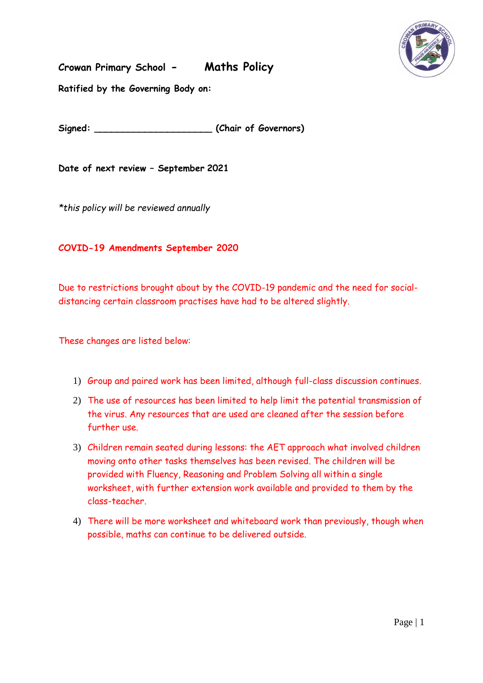

**Crowan Primary School - Maths Policy**

**Ratified by the Governing Body on:**

**Signed: \_\_\_\_\_\_\_\_\_\_\_\_\_\_\_\_\_\_\_\_\_ (Chair of Governors)**

**Date of next review – September 2021**

*\*this policy will be reviewed annually* 

## **COVID-19 Amendments September 2020**

Due to restrictions brought about by the COVID-19 pandemic and the need for socialdistancing certain classroom practises have had to be altered slightly.

These changes are listed below:

- 1) Group and paired work has been limited, although full-class discussion continues.
- 2) The use of resources has been limited to help limit the potential transmission of the virus. Any resources that are used are cleaned after the session before further use.
- 3) Children remain seated during lessons: the AET approach what involved children moving onto other tasks themselves has been revised. The children will be provided with Fluency, Reasoning and Problem Solving all within a single worksheet, with further extension work available and provided to them by the class-teacher.
- 4) There will be more worksheet and whiteboard work than previously, though when possible, maths can continue to be delivered outside.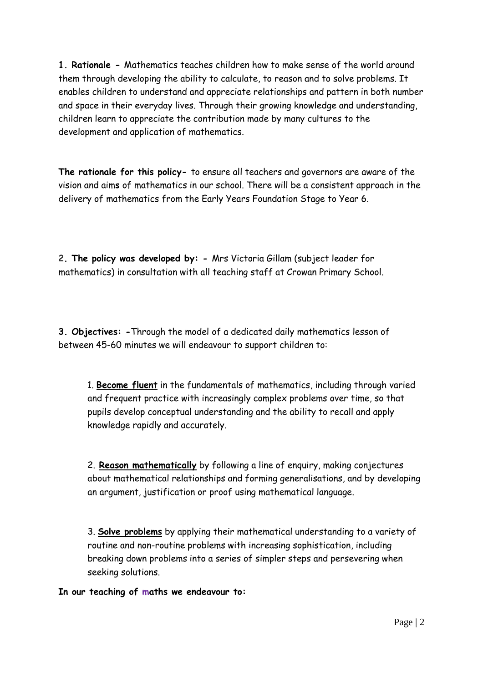**1. Rationale** *-* Mathematics teaches children how to make sense of the world around them through developing the ability to calculate, to reason and to solve problems. It enables children to understand and appreciate relationships and pattern in both number and space in their everyday lives. Through their growing knowledge and understanding, children learn to appreciate the contribution made by many cultures to the development and application of mathematics.

**The rationale for this policy-** to ensure all teachers and governors are aware of the vision and aim**s** of mathematics in our school. There will be a consistent approach in the delivery of mathematics from the Early Years Foundation Stage to Year 6.

**2. The policy was developed by: -** Mrs Victoria Gillam (subject leader for mathematics) in consultation with all teaching staff at Crowan Primary School.

**3. Objectives: -**Through the model of a dedicated daily mathematics lesson of between 45-60 minutes we will endeavour to support children to:

1. **Become fluent** in the fundamentals of mathematics, including through varied and frequent practice with increasingly complex problems over time, so that pupils develop conceptual understanding and the ability to recall and apply knowledge rapidly and accurately.

2. **Reason mathematically** by following a line of enquiry, making conjectures about mathematical relationships and forming generalisations, and by developing an argument, justification or proof using mathematical language.

3. **Solve problems** by applying their mathematical understanding to a variety of routine and non-routine problems with increasing sophistication, including breaking down problems into a series of simpler steps and persevering when seeking solutions.

**In our teaching of maths we endeavour to:**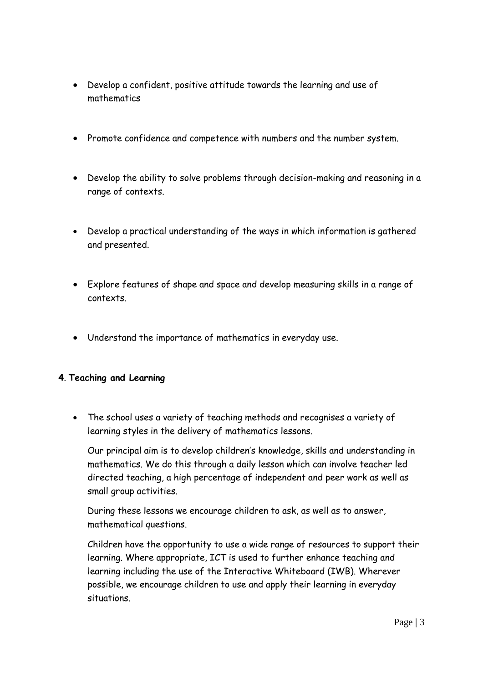- Develop a confident, positive attitude towards the learning and use of mathematics
- Promote confidence and competence with numbers and the number system.
- Develop the ability to solve problems through decision-making and reasoning in a range of contexts.
- Develop a practical understanding of the ways in which information is gathered and presented.
- Explore features of shape and space and develop measuring skills in a range of contexts.
- Understand the importance of mathematics in everyday use.

# **4**. **Teaching and Learning**

 The school uses a variety of teaching methods and recognises a variety of learning styles in the delivery of mathematics lessons.

Our principal aim is to develop children's knowledge, skills and understanding in mathematics. We do this through a daily lesson which can involve teacher led directed teaching, a high percentage of independent and peer work as well as small group activities.

During these lessons we encourage children to ask, as well as to answer, mathematical questions.

Children have the opportunity to use a wide range of resources to support their learning. Where appropriate, ICT is used to further enhance teaching and learning including the use of the Interactive Whiteboard (IWB). Wherever possible, we encourage children to use and apply their learning in everyday situations.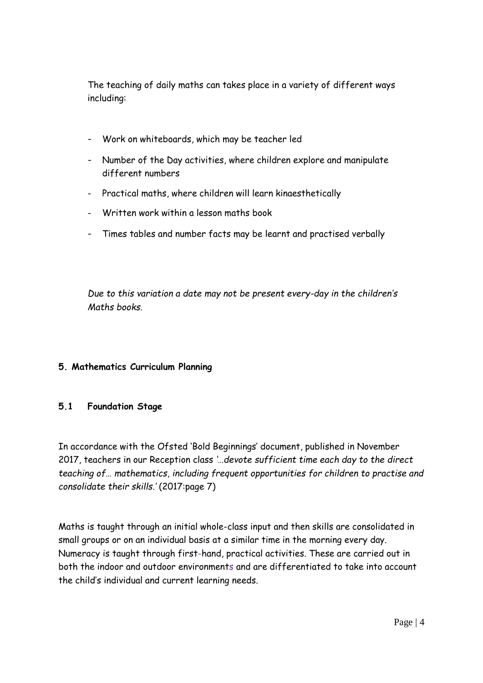The teaching of daily maths can takes place in a variety of different ways including:

- Work on whiteboards, which may be teacher led
- Number of the Day activities, where children explore and manipulate different numbers
- Practical maths, where children will learn kinaesthetically
- Written work within a lesson maths book
- Times tables and number facts may be learnt and practised verbally

*Due to this variation a date may not be present every-day in the children's Maths books.*

# **5. Mathematics Curriculum Planning**

# **5.1 Foundation Stage**

In accordance with the Ofsted 'Bold Beginnings' document, published in November 2017, teachers in our Reception class *'…devote sufficient time each day to the direct teaching of… mathematics, including frequent opportunities for children to practise and consolidate their skills.'* (2017:page 7)

Maths is taught through an initial whole-class input and then skills are consolidated in small groups or on an individual basis at a similar time in the morning every day. Numeracy is taught through first-hand, practical activities. These are carried out in both the indoor and outdoor environments and are differentiated to take into account the child's individual and current learning needs.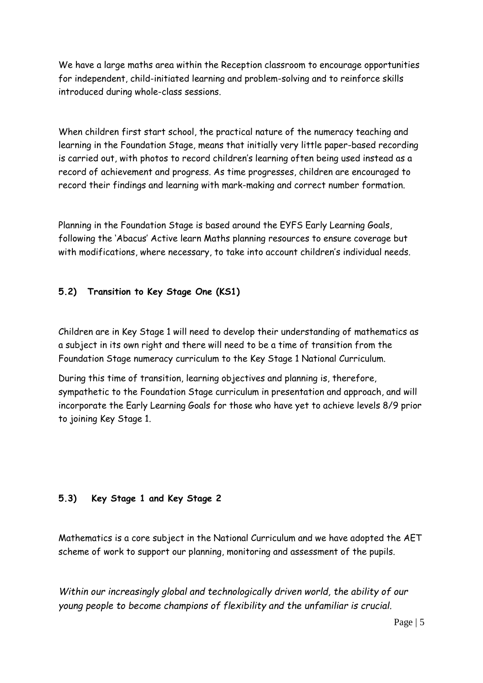We have a large maths area within the Reception classroom to encourage opportunities for independent, child-initiated learning and problem-solving and to reinforce skills introduced during whole-class sessions.

When children first start school, the practical nature of the numeracy teaching and learning in the Foundation Stage, means that initially very little paper-based recording is carried out, with photos to record children's learning often being used instead as a record of achievement and progress. As time progresses, children are encouraged to record their findings and learning with mark-making and correct number formation.

Planning in the Foundation Stage is based around the EYFS Early Learning Goals, following the 'Abacus' Active learn Maths planning resources to ensure coverage but with modifications, where necessary, to take into account children's individual needs.

# **5.2) Transition to Key Stage One (KS1)**

Children are in Key Stage 1 will need to develop their understanding of mathematics as a subject in its own right and there will need to be a time of transition from the Foundation Stage numeracy curriculum to the Key Stage 1 National Curriculum.

During this time of transition, learning objectives and planning is, therefore, sympathetic to the Foundation Stage curriculum in presentation and approach, and will incorporate the Early Learning Goals for those who have yet to achieve levels 8/9 prior to joining Key Stage 1.

# **5.3) Key Stage 1 and Key Stage 2**

Mathematics is a core subject in the National Curriculum and we have adopted the AET scheme of work to support our planning, monitoring and assessment of the pupils.

*Within our increasingly global and technologically driven world, the ability of our young people to become champions of flexibility and the unfamiliar is crucial.*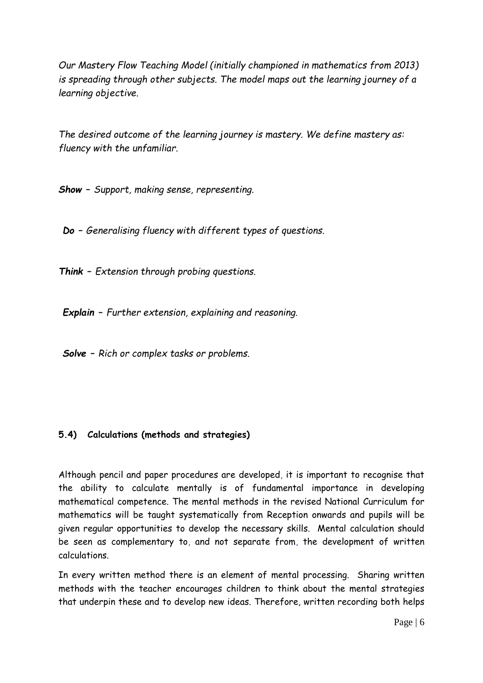*Our Mastery Flow Teaching Model (initially championed in mathematics from 2013) is spreading through other subjects. The model maps out the learning journey of a learning objective.* 

*The desired outcome of the learning journey is mastery. We define mastery as: fluency with the unfamiliar.*

*Show – Support, making sense, representing.*

*Do – Generalising fluency with different types of questions.*

*Think – Extension through probing questions.*

*Explain – Further extension, explaining and reasoning.*

*Solve – Rich or complex tasks or problems.*

### **5.4) Calculations (methods and strategies)**

Although pencil and paper procedures are developed, it is important to recognise that the ability to calculate mentally is of fundamental importance in developing mathematical competence. The mental methods in the revised National Curriculum for mathematics will be taught systematically from Reception onwards and pupils will be given regular opportunities to develop the necessary skills. Mental calculation should be seen as complementary to, and not separate from, the development of written calculations.

In every written method there is an element of mental processing. Sharing written methods with the teacher encourages children to think about the mental strategies that underpin these and to develop new ideas. Therefore, written recording both helps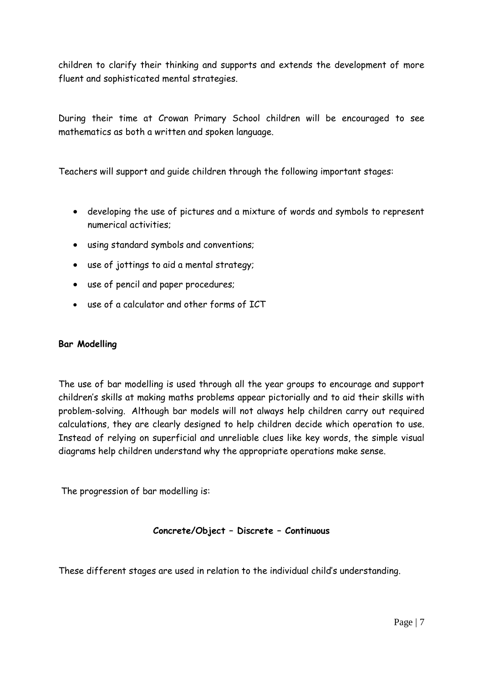children to clarify their thinking and supports and extends the development of more fluent and sophisticated mental strategies.

During their time at Crowan Primary School children will be encouraged to see mathematics as both a written and spoken language.

Teachers will support and guide children through the following important stages:

- developing the use of pictures and a mixture of words and symbols to represent numerical activities;
- using standard symbols and conventions;
- use of jottings to aid a mental strategy;
- use of pencil and paper procedures;
- use of a calculator and other forms of ICT

#### **Bar Modelling**

The use of bar modelling is used through all the year groups to encourage and support children's skills at making maths problems appear pictorially and to aid their skills with problem-solving. Although bar models will not always help children carry out required calculations, they are clearly designed to help children decide which operation to use. Instead of relying on superficial and unreliable clues like key words, the simple visual diagrams help children understand why the appropriate operations make sense.

The progression of bar modelling is:

#### **Concrete/Object – Discrete – Continuous**

These different stages are used in relation to the individual child's understanding.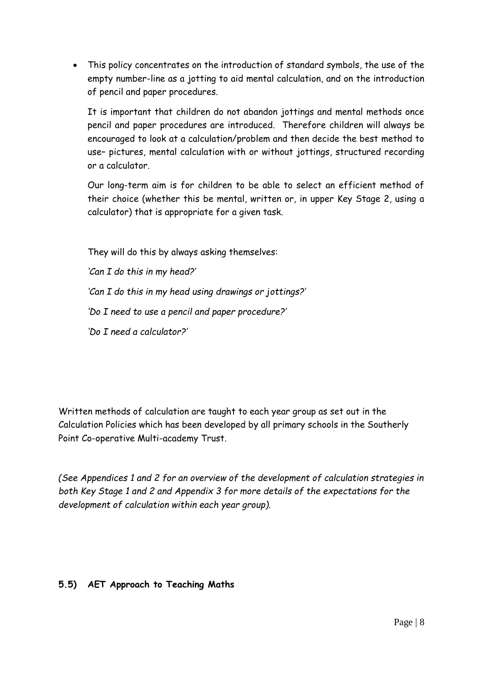This policy concentrates on the introduction of standard symbols, the use of the empty number-line as a jotting to aid mental calculation, and on the introduction of pencil and paper procedures.

It is important that children do not abandon jottings and mental methods once pencil and paper procedures are introduced. Therefore children will always be encouraged to look at a calculation/problem and then decide the best method to use– pictures, mental calculation with or without jottings, structured recording or a calculator.

Our long-term aim is for children to be able to select an efficient method of their choice (whether this be mental, written or, in upper Key Stage 2, using a calculator) that is appropriate for a given task.

They will do this by always asking themselves: *'Can I do this in my head?' 'Can I do this in my head using drawings or jottings?' 'Do I need to use a pencil and paper procedure?' 'Do I need a calculator?'*

Written methods of calculation are taught to each year group as set out in the Calculation Policies which has been developed by all primary schools in the Southerly Point Co-operative Multi-academy Trust.

*(See Appendices 1 and 2 for an overview of the development of calculation strategies in both Key Stage 1 and 2 and Appendix 3 for more details of the expectations for the development of calculation within each year group).*

### **5.5) AET Approach to Teaching Maths**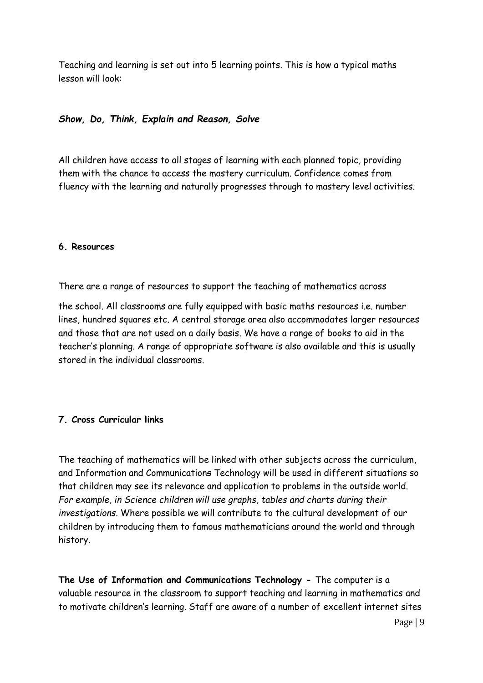Teaching and learning is set out into 5 learning points. This is how a typical maths lesson will look:

### *Show, Do, Think, Explain and Reason, Solve*

All children have access to all stages of learning with each planned topic, providing them with the chance to access the mastery curriculum. Confidence comes from fluency with the learning and naturally progresses through to mastery level activities.

#### **6. Resources**

There are a range of resources to support the teaching of mathematics across

the school. All classrooms are fully equipped with basic maths resources i.e. number lines, hundred squares etc. A central storage area also accommodates larger resources and those that are not used on a daily basis. We have a range of books to aid in the teacher's planning. A range of appropriate software is also available and this is usually stored in the individual classrooms.

### **7. Cross Curricular links**

The teaching of mathematics will be linked with other subjects across the curriculum, and Information and Communications Technology will be used in different situations so that children may see its relevance and application to problems in the outside world. *For example, in Science children will use graphs, tables and charts during their investigations.* Where possible we will contribute to the cultural development of our children by introducing them to famous mathematicians around the world and through history.

**The Use of Information and Communications Technology -** The computer is a valuable resource in the classroom to support teaching and learning in mathematics and to motivate children's learning. Staff are aware of a number of excellent internet sites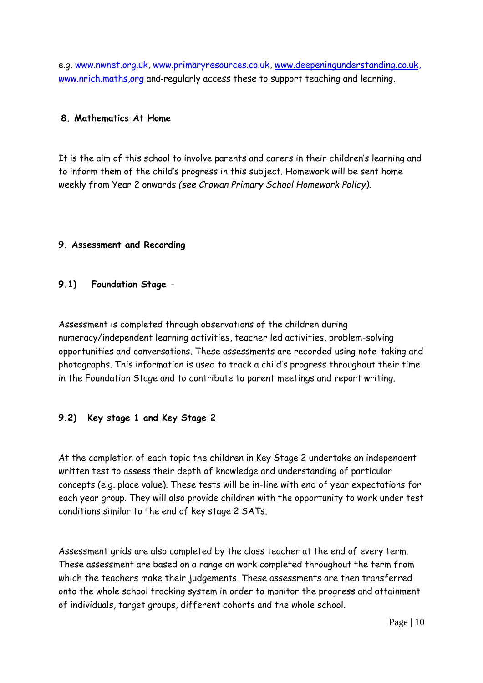e.g. www.nwnet.org.uk, www.primaryresources.co.uk, [www.deepeningunderstanding.co.uk,](http://www.deepeningunderstanding.co.uk/) www.nrich.maths.org and-regularly access these to support teaching and learning.

### **8. Mathematics At Home**

It is the aim of this school to involve parents and carers in their children's learning and to inform them of the child's progress in this subject. Homework will be sent home weekly from Year 2 onwards *(see Crowan Primary School Homework Policy).* 

#### **9. Assessment and Recording**

#### **9.1) Foundation Stage -**

Assessment is completed through observations of the children during numeracy/independent learning activities, teacher led activities, problem-solving opportunities and conversations. These assessments are recorded using note-taking and photographs. This information is used to track a child's progress throughout their time in the Foundation Stage and to contribute to parent meetings and report writing.

### **9.2) Key stage 1 and Key Stage 2**

At the completion of each topic the children in Key Stage 2 undertake an independent written test to assess their depth of knowledge and understanding of particular concepts (e.g. place value). These tests will be in-line with end of year expectations for each year group. They will also provide children with the opportunity to work under test conditions similar to the end of key stage 2 SATs.

Assessment grids are also completed by the class teacher at the end of every term. These assessment are based on a range on work completed throughout the term from which the teachers make their judgements. These assessments are then transferred onto the whole school tracking system in order to monitor the progress and attainment of individuals, target groups, different cohorts and the whole school.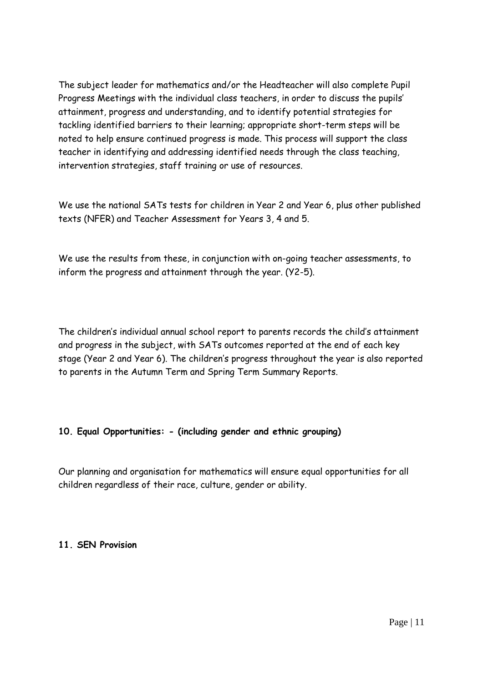The subject leader for mathematics and/or the Headteacher will also complete Pupil Progress Meetings with the individual class teachers, in order to discuss the pupils' attainment, progress and understanding, and to identify potential strategies for tackling identified barriers to their learning; appropriate short-term steps will be noted to help ensure continued progress is made. This process will support the class teacher in identifying and addressing identified needs through the class teaching, intervention strategies, staff training or use of resources.

We use the national SATs tests for children in Year 2 and Year 6, plus other published texts (NFER) and Teacher Assessment for Years 3, 4 and 5.

We use the results from these, in conjunction with on-going teacher assessments, to inform the progress and attainment through the year. (Y2-5).

The children's individual annual school report to parents records the child's attainment and progress in the subject, with SATs outcomes reported at the end of each key stage (Year 2 and Year 6). The children's progress throughout the year is also reported to parents in the Autumn Term and Spring Term Summary Reports.

# **10. Equal Opportunities: - (including gender and ethnic grouping)**

Our planning and organisation for mathematics will ensure equal opportunities for all children regardless of their race, culture, gender or ability.

### **11. SEN Provision**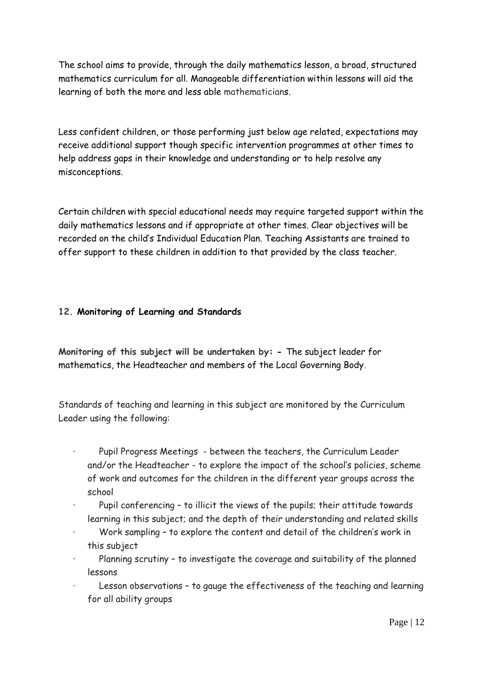The school aims to provide, through the daily mathematics lesson, a broad, structured mathematics curriculum for all. Manageable differentiation within lessons will aid the learning of both the more and less able mathematicians.

Less confident children, or those performing just below age related, expectations may receive additional support though specific intervention programmes at other times to help address gaps in their knowledge and understanding or to help resolve any misconceptions.

Certain children with special educational needs may require targeted support within the daily mathematics lessons and if appropriate at other times. Clear objectives will be recorded on the child's Individual Education Plan. Teaching Assistants are trained to offer support to these children in addition to that provided by the class teacher.

## **12. Monitoring of Learning and Standards**

**Monitoring of this subject will be undertaken by: -** The subject leader for mathematics, the Headteacher and members of the Local Governing Body.

Standards of teaching and learning in this subject are monitored by the Curriculum Leader using the following:

- Pupil Progress Meetings between the teachers, the Curriculum Leader and/or the Headteacher - to explore the impact of the school's policies, scheme of work and outcomes for the children in the different year groups across the school
- Pupil conferencing to illicit the views of the pupils; their attitude towards learning in this subject; and the depth of their understanding and related skills
- Work sampling to explore the content and detail of the children's work in this subject
- Planning scrutiny to investigate the coverage and suitability of the planned lessons
- Lesson observations to gauge the effectiveness of the teaching and learning for all ability groups